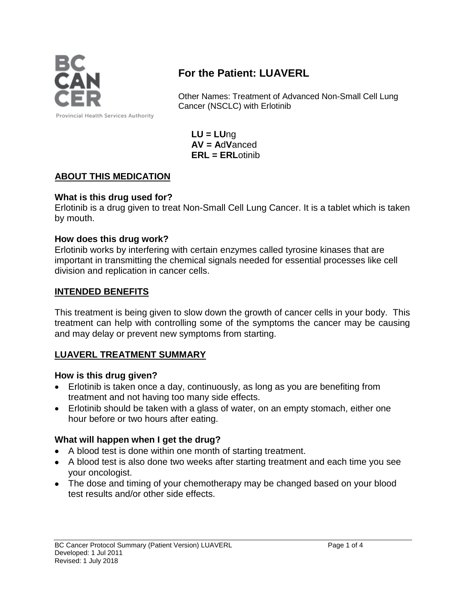

# **For the Patient: LUAVERL**

Other Names: Treatment of Advanced Non-Small Cell Lung Cancer (NSCLC) with Erlotinib

**LU = LU**ng **AV = A**d**V**anced **ERL = ERL**otinib

#### **ABOUT THIS MEDICATION**

#### **What is this drug used for?**

Erlotinib is a drug given to treat Non-Small Cell Lung Cancer. It is a tablet which is taken by mouth.

#### **How does this drug work?**

Erlotinib works by interfering with certain enzymes called tyrosine kinases that are important in transmitting the chemical signals needed for essential processes like cell division and replication in cancer cells.

#### **INTENDED BENEFITS**

This treatment is being given to slow down the growth of cancer cells in your body. This treatment can help with controlling some of the symptoms the cancer may be causing and may delay or prevent new symptoms from starting.

### **LUAVERL TREATMENT SUMMARY**

#### **How is this drug given?**

- Erlotinib is taken once a day, continuously, as long as you are benefiting from treatment and not having too many side effects.
- Erlotinib should be taken with a glass of water, on an empty stomach, either one hour before or two hours after eating.

#### **What will happen when I get the drug?**

- A blood test is done within one month of starting treatment.
- A blood test is also done two weeks after starting treatment and each time you see your oncologist.
- The dose and timing of your chemotherapy may be changed based on your blood test results and/or other side effects.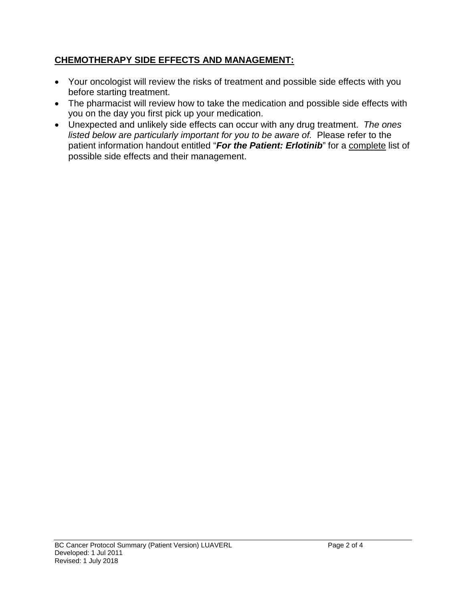# **CHEMOTHERAPY SIDE EFFECTS AND MANAGEMENT:**

- Your oncologist will review the risks of treatment and possible side effects with you before starting treatment.
- The pharmacist will review how to take the medication and possible side effects with you on the day you first pick up your medication.
- Unexpected and unlikely side effects can occur with any drug treatment. *The ones listed below are particularly important for you to be aware of.* Please refer to the patient information handout entitled "*For the Patient: Erlotinib*" for a complete list of possible side effects and their management.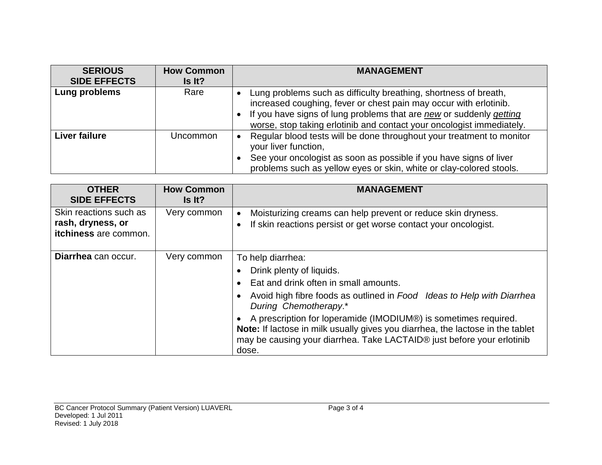| <b>SERIOUS</b><br><b>SIDE EFFECTS</b> | <b>How Common</b><br>Is It? | <b>MANAGEMENT</b>                                                                                                                                                                                                                                                                     |
|---------------------------------------|-----------------------------|---------------------------------------------------------------------------------------------------------------------------------------------------------------------------------------------------------------------------------------------------------------------------------------|
| Lung problems                         | Rare                        | Lung problems such as difficulty breathing, shortness of breath,<br>increased coughing, fever or chest pain may occur with erlotinib.<br>If you have signs of lung problems that are new or suddenly getting<br>worse, stop taking erlotinib and contact your oncologist immediately. |
| <b>Liver failure</b>                  | Uncommon                    | Regular blood tests will be done throughout your treatment to monitor<br>your liver function,<br>See your oncologist as soon as possible if you have signs of liver<br>problems such as yellow eyes or skin, white or clay-colored stools.                                            |

| <b>OTHER</b><br><b>SIDE EFFECTS</b>                                  | <b>How Common</b><br>Is It? | <b>MANAGEMENT</b>                                                                                                                                                                                                                                                                                                                                                                                                                 |
|----------------------------------------------------------------------|-----------------------------|-----------------------------------------------------------------------------------------------------------------------------------------------------------------------------------------------------------------------------------------------------------------------------------------------------------------------------------------------------------------------------------------------------------------------------------|
| Skin reactions such as<br>rash, dryness, or<br>itchiness are common. | Very common                 | Moisturizing creams can help prevent or reduce skin dryness.<br>$\bullet$<br>If skin reactions persist or get worse contact your oncologist.                                                                                                                                                                                                                                                                                      |
| Diarrhea can occur.                                                  | Very common                 | To help diarrhea:<br>Drink plenty of liquids.<br>Eat and drink often in small amounts.<br>Avoid high fibre foods as outlined in Food Ideas to Help with Diarrhea<br>During Chemotherapy.*<br>A prescription for loperamide (IMODIUM®) is sometimes required.<br>Note: If lactose in milk usually gives you diarrhea, the lactose in the tablet<br>may be causing your diarrhea. Take LACTAID® just before your erlotinib<br>dose. |